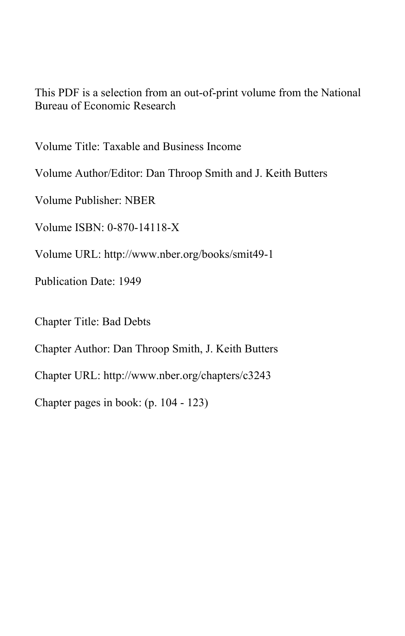This PDF is a selection from an out-of-print volume from the National Bureau of Economic Research

Volume Title: Taxable and Business Income

Volume Author/Editor: Dan Throop Smith and J. Keith Butters

Volume Publisher: NBER

Volume ISBN: 0-870-14118-X

Volume URL: http://www.nber.org/books/smit49-1

Publication Date: 1949

Chapter Title: Bad Debts

Chapter Author: Dan Throop Smith, J. Keith Butters

Chapter URL: http://www.nber.org/chapters/c3243

Chapter pages in book: (p. 104 - 123)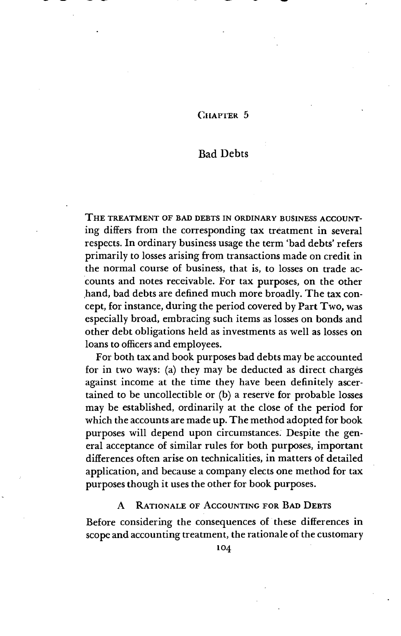# CHAPTER 5

 $\sim$  we will be a set of the set of the set of the set of the set of the set of the set of the set of the set of the set of the set of the set of the set of the set of the set of the set of the set of the set of the set o

# Bad Debts

THE TREATMENT OF BAD DEBTS IN ORDINARY BUSINESS ACCOUNTing differs from the corresponding tax treatment in several respects. In ordinary business usage the term 'bad debts' refers primarily to losses arising from transactions made on credit in the normal course of business, that is, to losses on trade accounts and notes receivable. For tax purposes, on the other hand, bad debts are defined much more broadly. The tax concept, for instance, during the period covered by Part Two, was especially broad, embracing such items as losses on bonds and other debt obligations held as investments as well as losses on loans to officers and employees.

For both tax and book purposes bad debts may be accounted for in two ways: (a) they may be deducted as direct charges against income at the time they have been definitely ascertained to be uncollectible or (b) a reserve for probable losses may be established, ordinarily at the close of the period for which the accounts are made up. The method adopted for book purposes will depend upon circumstances. Despite the general acceptance of similar rules for both purposes, important differences often arise on technicalities, in matters of detailed application, and because a company elects one method for tax purposes though it uses the other for book purposes.

# A RATIONALE OF ACCOUNTING FOR BAD DEBTS

Before considering the consequences of these differences in scope and accounting treatment, the rationale of the customary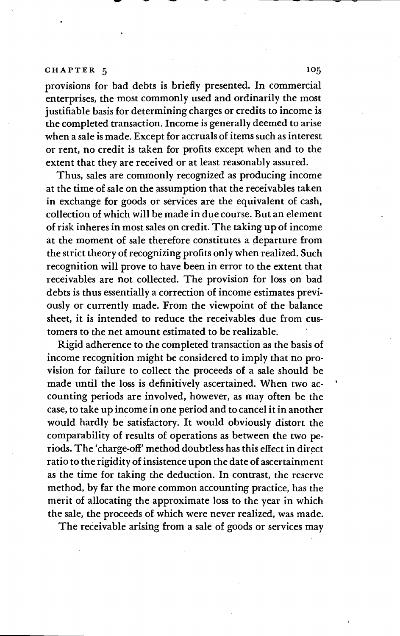provisions for bad debts is briefly presented. In commercial enterprises, the most commonly used and ordinarily the most justifiable basis for determining charges or credits to income is the completed transaction. Income is generally deemed to arise when a sale is made. Except for accruals of items such as interest or rent, no credit is taken for profits except when and to the extent that they are received or at least reasonably assured.

Thus, sales are commonly recognized as producing income at the time of sale on the assumption that the receivables taken in exchange for goods or services are the equivalent of cash, collection of which will be made in due course. But an element of risk inheres in most sales on credit. The taking up of income at the moment of sale therefore constitutes a departure from the strict theory of recognizing profits only when realized. Such recognition will prove to have been in error to the extent that receivables are not collected. The provision for loss on bad debts is thus essentially a correction of income estimates previously or currently made. From the viewpoint of the balance sheet, it is intended to reduce the receivables due from customers to the net amount estimated to be realizable.

Rigid adherence to the completed transaction as the basis of income recognition might be considered to imply that no provision for failure to collect the proceeds of a sale should be made until the loss is definitively ascertained. When two accounting periods are involved, however, as may often be the case, to take up income in one period and to cancel it in another would hardly be satisfactory. It would obviously distort the comparability of results of operations as between the two penods. The 'charge-off' method doubtless has this effect in direct ratio to the rigidity of insistence upon the date of ascertainment as the time for taking the deduction. In contrast, the reserve method, by far the more common accounting practice, has the merit of allocating the approximate loss to the year in which the sale, the proceeds of which were never realized, was made.

The receivable arising from a sale of goods or services may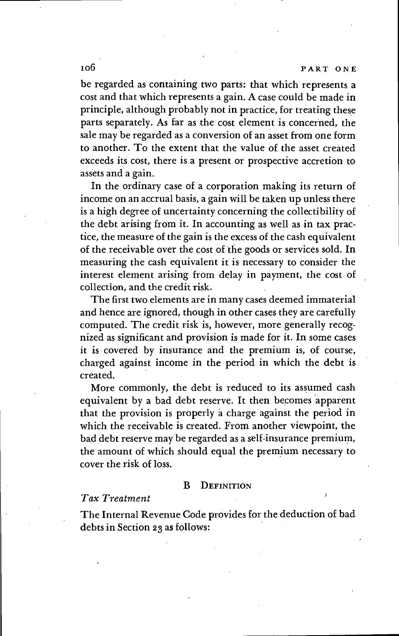# io6 PART ONE

be regarded as containing two parts: that which represents a cost and that which represents a gain. A case could be made in principle, although probably not in practice, for treating these parts separately. As far as the cost element is concerned, the sale may be regarded as a conversion of an asset from one form to another. To the extent that the value of the asset created exceeds its cost, there is a present or prospective accretion to assets and a gain.

In the ordinary case of a corporation making its return of income on an accrual basis, a gain will be taken up unless there is a high degree of uncertainty concerning the collectibility of the debt arising from it. In accounting as well as in tax practice, the measure of the gain is the excess of the cash equivalent of the receivable over the cost of the goods or services sold. In measuring the cash equivalent it is necessary to consider the interest element arising from delay in payment, the cost of collection, and the credit risk.

The first two elements are in many cases deemed immaterial and hence are ignored, though in other cases they are carefully computed. The credit risk is, however, more generally recognized as significant and provision is made for it. In some cases it is covered by insurance and the premium is, of course, charged against income in the period in which the debt is created.

More commonly, the debt is reduced to its assumed cash equivalent by a bad debt reserve. It then becomes apparent that the provision is properly a charge against the period in which the receivable is created. From another viewpoint, the bad debt reserve may be regarded as a self-insurance premium, the amount of which should equal the premium necessary to cover the risk of loss.

#### B DEFINITIoN

### Tax Treatment

The Internal Revenue Code provides for the deduction of bad debts in Section 23 as follows: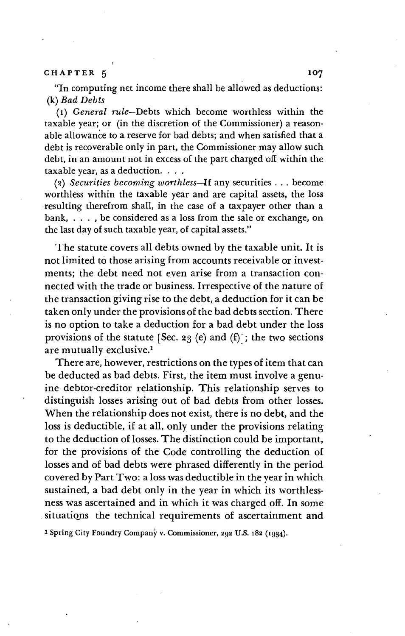"In computing net income there shall be allowed as deductions: (k) Bad Debts

(i) General rule—Debts which become worthless within the taxable year; or (in the discretion of the Commissioner) a reasonable allowance to a reserve for bad debts; and when satisfied that a debt is recoverable only in part, the Commissioner may allow such debt, in an amount not in excess of the part charged off within the taxable year, as a deduction.

(2) Securities becoming worthless—Jf any securities . . become worthless within the taxable year and are capital assets, the loss resulting therefrom shall, in the case of a taxpayer other than a bank, . . , be considered as a loss from the sale or exchange, on the last day of such taxable year, of capital assets."

The statute covers all debts owned by the taxable unit. It is not limited to those arising from accounts receivable or investments; the debt need not even arise from a transaction connected with the trade or business. Irrespective of the nature of the transaction giving rise to the debt, a deduction for it can be taken only under the provisions of the bad debts section. There is no option to take a deduction for a bad debt under the loss provisions of the statute [Sec. 23 (e) and (f)]; the two sections are mutually exclusive.1

There are, however, restrictions on the types of item that can be deducted as bad debts. First, the item must involve a genuine debtor-creditor relationship. This relationship serves to distinguish losses arising out of bad debts from other losses. When the relationship does not exist, there is no debt, and the loss is deductible, if at all, only under the provisions relating to the deduction of losses. The distinction could be important, for the provisions of the Code controlling the deduction of losses and of bad debts were phrased differently in the period covered by Part Two: a loss was deductible in the year in which sustained, a bad debt only in the year in which its worthlessness was ascertained and in which it was charged off. In some situations the technical requirements of ascertainment and

1 Spring City Foundry Company v. Commissioner, 292 U.S. 182 (1934).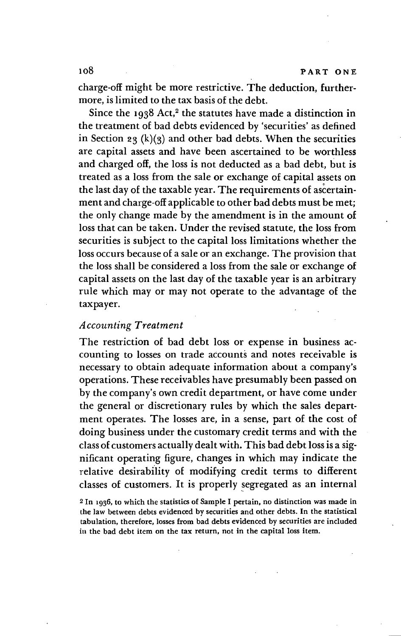charge-off might be more restrictive. The deduction, furthermore, is limited to the tax basis of the debt.

Since the  $1938$  Act,<sup>2</sup> the statutes have made a distinction in the treatment of bad debts evidenced by 'securities' as defined in Section 23  $(k)(3)$  and other bad debts. When the securities are capital assets and have been ascertained to be worthless and charged off, the loss is not deducted as a bad debt, but is treated as a loss from the sale or exchange of capital assets on the last day of the taxable year. The requirements of ment and charge-off applicable to other bad debts must be met; the only change made by the amendment is in the amount of loss that can be taken. Under the revised statute, the loss from securities is subject to the capital loss limitations whether the loss occurs because of a sale or an exchange. The provision that the loss shall be considered a loss from the sale or exchange of capital assets on the last day of the taxable year is an arbitrary rule which may or may not operate to the advantage of the taxpayer

# Accounting Treatment

The restriction of bad debt loss or expense in business accounting to losses on trade accounts and notes receivable is necessary to obtain adequate information about a company's operations. These receivables have presumably been passed on by the company's own credit department, or have come under the general or discretionary rules by which the sales department operates. The losses are, in a sense, part of the cost of doing business under the customary credit terms and with the class of customers actually dealt with. This bad debt loss is a significant operating figure, changes in which may indicate the relative desirability of modifying credit terms to different classes of customers. It is properly segregated as an internal

<sup>2</sup> In 1936, to which the statistics of Sample I pertain, no distinction was made in the law between debts evidenced by securities and other debts. In the statistical tabulation, therefore, losses from bad debts evidenced by securities are included in the bad debt item on the tax return, not in the capital loss item.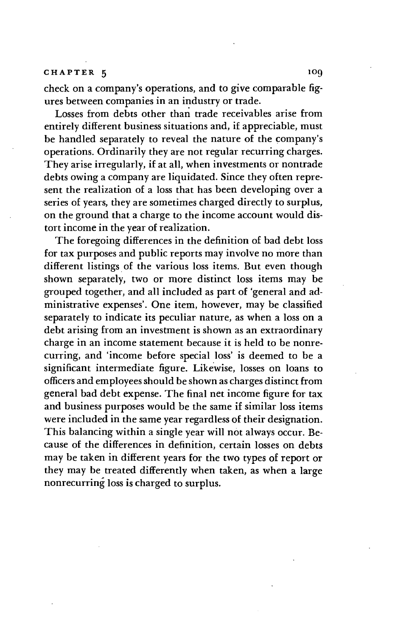check on a company's operations, and to give comparable figures between companies in an industry or trade.

Losses from debts other than trade receivables arise from entirely different business situations and, if appreciable, must be handled separately to reveal the nature of the company's operations. Ordinarily they are not regular recurring charges. They arise irregularly, if at all, when investments or nontrade debts owing a company are liquidated. Since they often represent the realization of a loss that has been developing over a series of years, they are sometimes charged directly to surplus, on the ground that a charge to the income account would distort income in the year of realization.

The foregoing differences in the definition of bad debt loss for tax purposes and public reports may involve no more than different listings of the various loss items. But even though shown separately, two or more distinct loss items may be grouped together, and all included as part of 'general and administrative expenses'. One item, however, may be classified separately to indicate its peculiar nature, as when a loss on a debt arising from an investment is shown as an extraordinary charge in an income statement because it is held to be nonrecurring, and 'income before special loss' is deemed to be a significant intermediate figure. Likewise, losses on loans to officers and employees should be shown as charges distinct from general bad debt expense. The final net income figure for tax and business purposes would be the same if similar loss items were included in the same year regardless of their designation. This balancing within a single year will not always occur. Because of the differences in definition, certain losses on debts may be taken in different years for the two types of report or they may be treated differently when taken, as when a large nonrecurring loss is charged to surplus.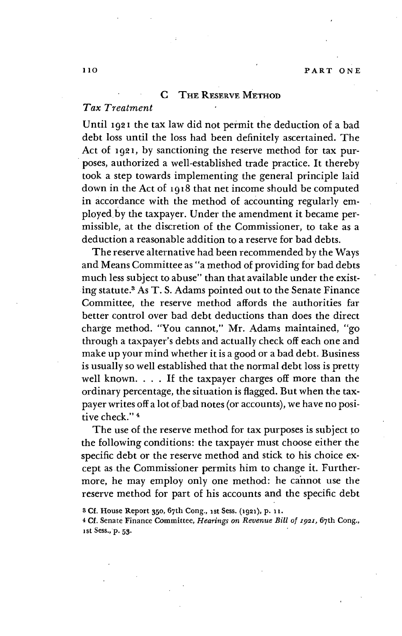#### C THE RESERVE METHOD

## Tax Treatment

Until 1921 the tax law did not permit the deduction of a bad debt loss until the loss had been definitely ascertained. The Act of 1921, by sanctioning the reserve method for tax purposes, authorized a well-established trade practice. It thereby took a step towards implementing the general principle laid down in the Act of 1918 that net income should be computed in accordance with the method of accounting regularly employed.by the taxpayer. Under the amendment it became permissible, at the discretion of the Commissioner, to take as a deduction a reasonable addition to a reserve for bad debts.

The reserve alternative had been recommended by the Ways and Means Committee as "a method of providing for bad debts much less subject to abuse" than that available under the existing statute.3 As T. S. Adams pointed out to the Senate Finance Committee, the reserve method affords the authorities far better control over bad debt deductions than does the direct charge method. "You cannot," Mr. Adams maintained, "go through a taxpayer's debts and actually check off each one and make up your mind whether it is a good or a bad debt. Business is usually so well established that the normal debt loss is pretty well known. . . . If the taxpayer charges off more than the ordinary percentage, the situation is flagged. But when the taxpayer writes off a lot of bad notes (or accounts), we have no positive check."<sup>4</sup>

The use of the reserve method for tax purposes is subject to the following conditions: the taxpayer must choose either the specific debt or the reserve method and stick to his choice except as the Commissioner permits him to change it. Furthermore, he may employ only one method: he cannot use the reserve method for part of his accounts and the specific debt

<sup>3</sup> Cf. House Report 350, 67th Cong., ist Sess. (1921), p. ii.

<sup>4</sup> Cf. Senate Finance Committee, Hearings on Revenue Bill of 1921. 67th Cong., ist Sess.,p. 53.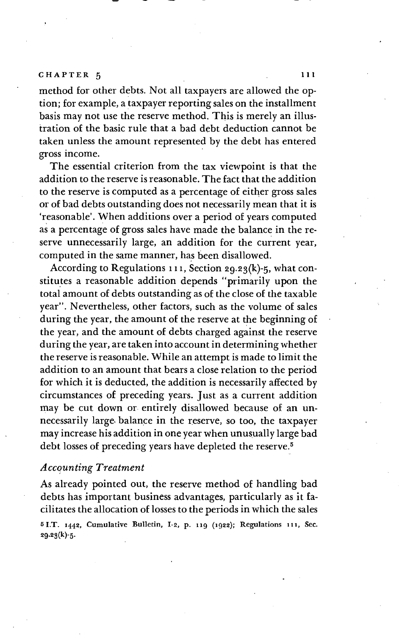method for other debts. Not all taxpayers are allowed the option; for example, a taxpayer reporting sales on the installment basis may not use the reserve method. This is merely an illustration of the basic rule that a bad debt deduction cannot be taken unless the amount represented by the debt has entered gross income.

The essential criterion from the tax viewpoint is that the addition to the reserve is reasonable. The fact that the addition to the reserve is computed as a percentage of either gross sales or of bad debts outstanding does not necessarily mean that it is 'reasonable'. When additions over a period of years computed as a percentage of gross sales have made the balance in the reserve unnecessarily large, an addition for the current year, computed in the same manner, has been disallowed.

According to Regulations  $111$ , Section 29.23(k)-5, what constitutes a reasonable addition depends "primarily upon the total amount of debts outstanding as of the close of the taxable year". Nevertheless, other factors, such as the volume of sales during the year, the amount of the reserve at the beginning of the year, and the amount of debts charged against the reserve during the year, are taken into account in determining whether the reserve is reasonable. While an attempt is made to limit the addition to an amount that bears a close relation to the period for which it is deducted, the addition is necessarily affected by circumstances of preceding years. Just as a current addition may be cut down or entirely disallowed because of an unnecessarily large balance in the reserve, so too, the taxpayer may increase his addition in one year when unusually large bad debt losses of preceding years have depleted the reserve.<sup>5</sup>

# Accounting Treatment

As already pointed out, the reserve method of handling bad debts has important business advantages, particularly as it facilitates the allocation of losses to the periods in which the sales 5 I.T. 1442, Cumulative Bulletin, I-2, p. 119 (1922); Regulations 111, Sec. 29.23(k)-5.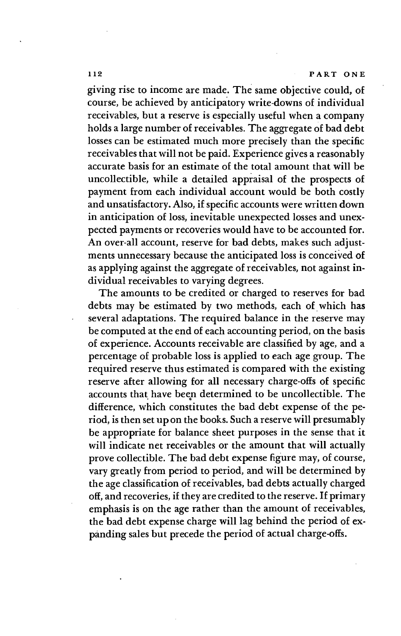giving rise to income are made. The same objective could, of course, be achieved by anticipatory write-downs of individual receivables, but a reserve is especially useful when a company holds a large number of receivables. The aggregate of bad debt losses can be estimated much more precisely than the specific receivables that will not be paid. Experience gives a reasonably accurate basis for an estimate of the total amount that will be uncollectible, while a detailed appraisal of the prospects of payment from each individual account would be both costly and unsatisfactory. Also, if specific accounts were written down in anticipation of loss, inevitable unexpected losses and unexpected payments or recoveries would have to be accounted for. An over-all account, reserve for bad debts, makes such adjustments unnecessary because the anticipated loss is conceived of as applying against the aggregate of receivables, not against individual receivables to varying degrees.

The amounts to be credited or charged to reserves for bad debts may be estimated by two methods, each of which has several adaptations. The required balance in the reserve may be computed at the end of each accounting period, on the basis of experience. Accounts receivable are classified by age, and a percentage of probable loss is applied to each age group. The required reserve thus estimated is compared with the existing reserve after allowing for all necessary charge-offs of specific accounts that have beep determined to be uncollectible. The difference, which constitutes the bad debt expense of the period, is then set up on the books. Such a reserve will presumably be appropriate for balance sheet purposes in the sense that it will indicate net receivables or the amount that will actually prove collectible. The bad debt expense figure may, of course, vary greatly from period to period, and will be determined by the age classification of receivables, bad debts actually charged off, and recoveries, if they are credited to the reserve. If primary emphasis is on the age rather than the amount of receivables, the bad debt expense charge will lag behind the period of cxpánding sales but precede the period of actual charge-offs.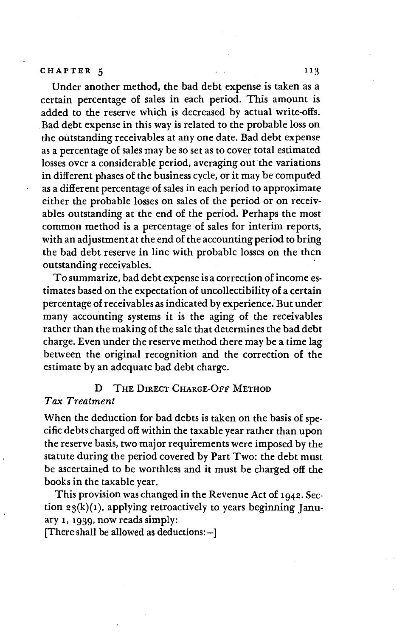## CHAPTER 5

Under another method, the bad debt expense is taken as a certain percentage of sales in each period. This amount is added to the reserve which is decreased by actual write-offs. Bad debt expense in this way is related to the probable loss on the outstanding receivables at any one date. Bad debt expense as a percentage of sales may be so set as to cover total estimated losses over a considerable period, averaging out the variations in different phases of the business cycle, or it may be computed as a different percentage of sales in each period to approximate either the probable losses on sales of the period or on receivables outstanding at the end of the period. Perhaps the most common method is a percentage of sales for interim reports, with an adjustment at the end of the accounting period to bring the bad debt reserve in line with probable losses on the then outstanding receivables.

To summarize, bad debt expense is a correction of income estimates based on the expectation of uncollectibility of a certain percentage of receivables as indicated by experience. But under many accounting systems it is the aging of the receivables rather than the making of the sale that determines the bad debt charge. Even under the reserve method there may be a time lag between the original recognition and the correction of the estimate by an adequate bad debt charge.

## D THE DIRECT CHARGE-OFF METHOD

## Tax Treatment

When the deduction for bad debts is taken on the basis of specific debts charged off within the taxable year rather than upon the reserve basis, two major requirements were imposed by the statute during the period covered by Part Two: the debt must be ascertained to be worthless and it must be charged off the books in the taxable year.

This provision was changed in the Revenue Act of 1942. Section  $23(k)(1)$ , applying retroactively to years beginning January 1, 1939, now reads simply:

[There shall be allowed as deductions:—]

113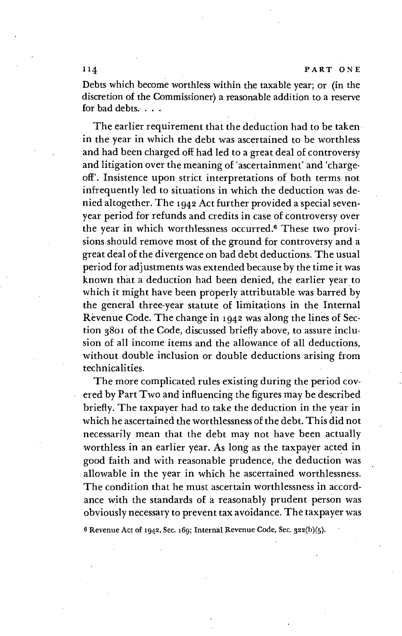114 PART ONE

Debts which become worthless within the taxable year; or (in the discretion of the Commissioner) a reasonable addition to a reserve for bad debts.

The earlier requirement that the deduction had to be taken. in the year in which the debt was ascertained to be worthless and had been charged off had led to a great deal of controversy and litigation over the meaning of 'ascertainment' and 'charge. off'. Insistence upon strict interpretations of' both terms not infrequently led to situations in which the deduction was denied altogether. The 1942 Act further provided a special sevenyear period for refunds and credits in case of controversy over the year in which worthlessness. occurred.° These two provisions.should remove most of the ground for controversy and a great deal of the divergence on bad debt deductions. The usual period for adjustments was extended because by the time it was known that a deduction had been denied, the earlier year to which it might have been properly attributable was barred by the general three-year statute of limitations in the Internal Revenue Code. The change in 1942 was along the lines of Sec.. tion 3801 of the Code, discussed briefly above, to assure inclusion of all income items and the allowance of all deductions, without double inclusion or double deductions arising from technicalities.

The more complicated rules existing during the period covered by Part Two and influencing the figures may be described briefly. The taxpayer had to take the deduction in the year in which he ascertained the worthlessness of the debt. This did not necessarily mean that the debt may not have been actually worthless in an earlier year. As long as the taxpayer acted in good faith and with reasonable prudence, the deduction was allowable in the year in which he ascertained worthlessness. The condition that he must ascertain worthlessness in accordance with the standards of a reasonably prudent person was obviously necessary to prevent tax avoidance. The taxpayer was

6 Revenue Act of 1942, Sec. 169; Internal Revenue Code, Sec. 322(b)(5).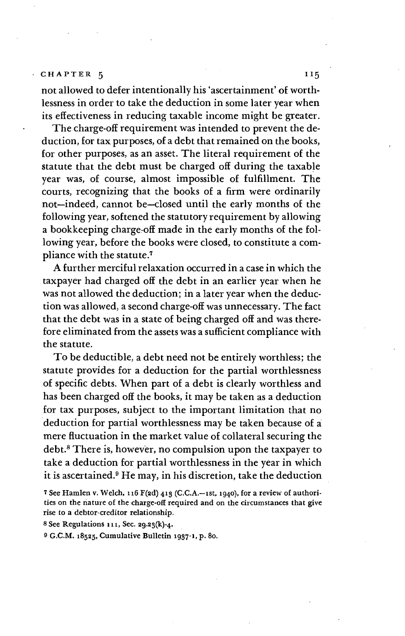not allowed to defer intentionally his 'ascertainment' of worthlessness in order to take the deduction in some later year when its effectiveness in reducing taxable income might be greater.

The charge-off requirement was intended to prevent the deduction, for tax purposes, of a debt that remained on the books, for other purposes, as an asset. The literal requirement of the statute that the debt must be charged off during the taxable year was, of course, almost impossible of fulfillment. The courts, recognizing that the books of a firm were ordinarily not—indeed, cannot be—closed until the early months of the following year, softened the statutory requirement by allowing a bookkeeping charge-off made in the early months of the following year, before the books were closed, to constitute a compliance with the statute.7

A further merciful relaxation occurred in a case in which the taxpayer had charged off the debt in an earlier year when he was not allowed the deduction; in a later year when the deduction was allowed, a second charge-off was unnecessary. The fact that the debt was in a state of being charged off and was therefore eliminated from the assets was a sufficient compliance with the statute.

To be deductible, a debt need not be entirely worthless; the statute provides for a deduction for the partial worthlessness of specific debts. When part of a debt is clearly worthless and has been charged off the books, it may be taken as a deduction for tax purposes, subject to the important limitation that no deduction for partial worthlessness may be taken because of a mere fluctuation in the market value of collateral securing the debt.8 There is, however, no compulsion upon the taxpayer to take a deduction for partial worthlessness in the year in which it is ascertained.9 He may, in his discretion, take the deduction

7 See Hamlen v. Welch, 116  $F(ad)$  413 (C.C.A.-1st, 1940), for a review of authorities on the nature of the charge-off required and on the circumstances that give rise to a debtor-creditor relationship.

8 See Regulations  $111$ , Sec. 29.23(k)-4.

9 G.C.M. 18525, Cumulative Bulletin 1937-1, p. 8o.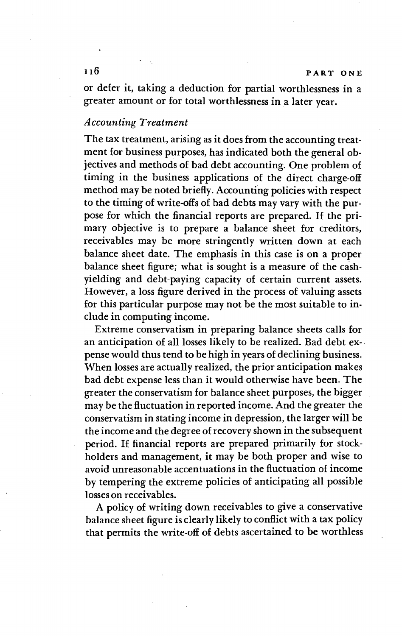or defer it, taking a deduction for partial worthlessness in a greater amount or for total worthlessness in a later year.

## Accounting Treatment

The tax treatment, arising as it does from the accounting treatment for business purposes, has indicated both the general objectives and methods of bad debt accounting. One problem of timing in the business applications of the direct charge-off method may be noted briefly. Accounting policies with respect to the timing of write-offs of bad debts may vary with the purpose for which the financial reports are prepared. If the primary objective is to prepare a balance sheet for creditors, receivables may be more stringently written down at each balance sheet date. The emphasis in this case is on a proper balance sheet figure; what is sought is a measure of the cashyielding and debt-paying capacity of certain current assets. However, a loss figure derived in the process of valuing assets for this particular purpose may not be the most suitable to include in computing income.

Extreme conservatism in preparing balance sheets calls for an anticipation of all losses likely to be realized. Bad debt cxpense would thus tend to be high in years of declining business. When losses are actually realized, the prior anticipation makes bad debt expense less than it would otherwise have been. The greater the conservatism for balance sheet purposes, the bigger may be the fluctuation in reported income. And the greater the conservatism in stating income in depression, the larger will be the income and the degree of recovery shown in the subsequent period. If financial reports are prepared primarily for stockholders and management, it may be both proper and wise to avoid unreasonable accentuations in the fluctuation of income by tempering the extreme policies of anticipating all possible losses on receivables.

A policy of writing down receivables to give a conservative balance sheet figure is clearly likely to conflict with a tax policy that permits the write-off of debts ascertained to be worthless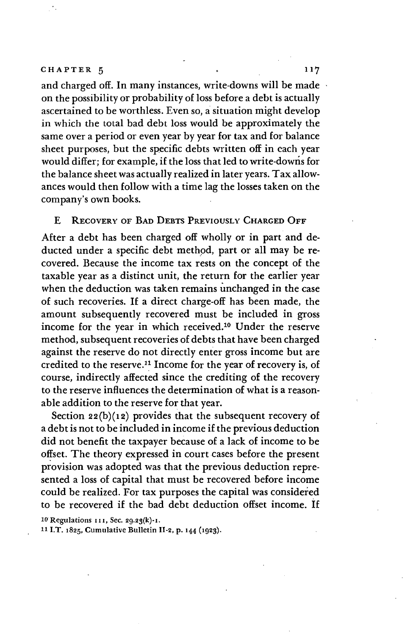### CHAPTER  $5$  0 117

and charged off. In many instances, write-downs will be made on the possibility or probability of loss before a debt is actually ascertained to be worthless. Even so, a situation might develop in which the total bad debt loss would be approximately the same over a period or even year by year for tax and for balance sheet purposes, but the specific debts written off in each year would differ; for example, if the loss that led to write-downs for the balance sheet was actually realized in later years. Tax allowances would then follow with a time lag the losses taken on the company's own books.

## £ RECOVERY OF BAD DEBTS PREVIOUSLY CHARGED OFF

After a debt has been charged off wholly or in part and deducted under a specific debt method, part or all may be recovered. Because the income tax rests on the concept of the taxable year as a distinct unit, the return for the earlier year when the deduction was taken remains unchanged in the case of such recoveries. If a direct charge-off has been made, the amount subsequently recovered must be included in gross income for the year in which received.'0 Under the reserve method, subsequent recoveries of debts that have been charged against the reserve do not directly enter gross income but are credited to the reserve.<sup>11</sup> Income for the year of recovery is, of course, indirectly affected since the crediting of the recovery to the reserve influences the determination of what is a reasonable addition to the reserve for that year.

Section  $22(b)(12)$  provides that the subsequent recovery of a debt is not to be included in income if the previous deduction did not benefit the taxpayer because of a lack of income to be offset. The theory expressed in court cases. before the present provision was adopted was that the previous deduction represented a loss of capital that must be recovered before income could be realized. For tax purposes the capital was considered to be recovered if the bad debt deduction offset income. If

10 Regulations 111, Sec. 29.23(k)-1.

11 I.T. 1825, Cumulative Bulletin 11-2, p. 144 (1923).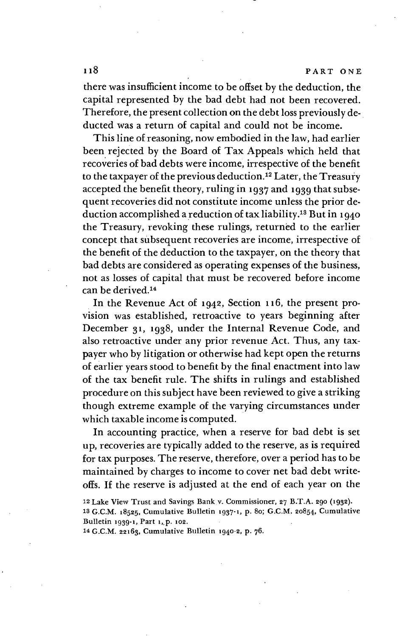there was insufficient income to be offset by the deduction, the capital represented by the bad debt had not been recovered. Therefore, the present collection on the debt loss previously deducted was a return of capital and could not be income.

This line of reasoning, now embodied in the law, had earlier been rejected by the Board of Tax Appeals which held that recoveries of bad debts were income, irrespective of the benefit to the taxpayer of the previous deduction.12 Later, the Treasury accepted the benefit theory, ruling in 1937 and 1939 that subsequent recoveries did not constitute income unless the prior deduction accomplished a reduction of tax liability.13 But in 1940 the Treasury, revoking these rulings, returned to the earlier concept that subsequent recoveries are income, irrespective of the benefit of the deduction to the taxpayer, on the theory that bad debts are considered as operating expenses of the business, not as losses of capital that must be recovered before income can be derived.'4

In the Revenue Act of 1942, Section 116, the present provision was established, retroactive to years beginning after December 31, 1938, under the Internal Revenue Code, and also retroactive under any prior revenue Act. Thus, any taxpayer who by litigation or otherwise had kept open the returns of earlier years stood to benefit by the final enactment into law of the tax benefit rule. The shifts in rulings and established procedure on this subject have been reviewed to give a striking though extreme example of the varying circumstances under which taxable income is computed.

In accounting practice, when a reserve for bad debt is set up, recoveries are typically added to the reserve, as is required for tax purposes. The reserve, therefore, over a period has to be maintained by charges to income to cover net bad debt writeoffs. If the reserve is adjusted at the end of each year on the

12 Lake View Trust and Savings Bank v. Commissioner, 27 B.T.A. 290 (1932). 13 G.C.M. 18525, Cumulative Bulletin 1937-1, p. 8o; G.C.M. 20854, Cumulative Bulletin 1939-1, Part 1, p. 102.

14 C.C.M. 22163, Cumulative Bulletin 1940-2, p. 76.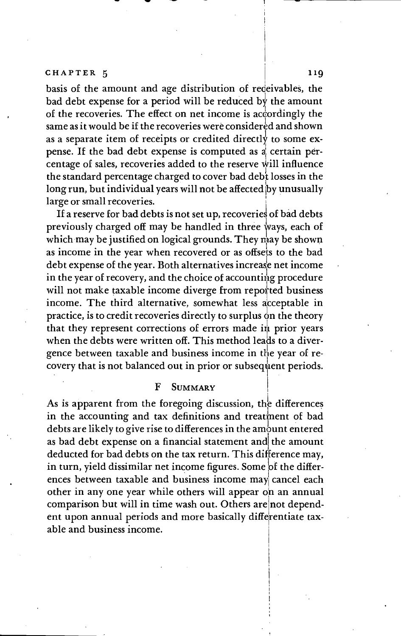basis of the amount and age distribution of receivables, the bad debt expense for a period will be reduced by the amount of the recoveries. The effect on net income is accordingly the same as it would be if the recoveries were considered and shown as a separate item of receipts or credited directly to some expense. If the bad debt expense is computed as a certain percentage of sales, recoveries added to the reserve will influence the standard percentage charged to cover bad debt losses in the long run, but individual years will not be affected by unusually large or small recoveries.

If a reserve for bad debts is not set up, recoveries of bad debts previously charged off may be handled in three ways, each of which may be justified on logical grounds. They may be shown as income in the year when recovered or as offsets to the bad debt expense of the year. Both alternatives increase net income in the year of recovery, and the choice of accounting procedure will not make taxable income diverge from reported business income. The third alternative, somewhat less acceptable in practice, is to credit recoveries directly to surplus on the theory that they represent corrections of errors made  $\overline{m}$  prior years when the debts were written off. This method leads to a divergence between taxable and business income in the year of recovery that is not balanced out in prior or subsequent periods.

#### F SUMMARY

As is apparent from the foregoing discussion, the differences in the accounting and tax definitions and treatment of bad debts are likely to give rise to differences in the amount entered as bad debt expense on a financial statement and the amount deducted for bad debts on the tax return. This difference may, in turn, yield dissimilar net income figures. Some of the differences between taxable and business income may cancel each other in any one year while others will appear on an annual comparison but will in time wash out. Others are not dependent upon annual periods and more basically differentiate taxable and business income.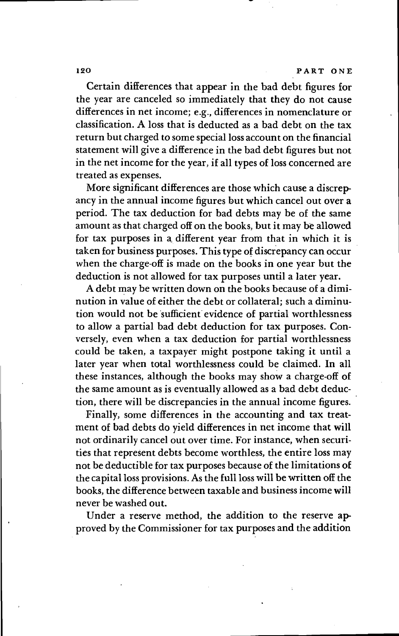Certain differences that appear in the bad debt figures for the year are canceled so immediately that they do not cause differences in net income; e.g., differences in nomenclature or classification. A loss that is deducted as a bad debt on the tax return but charged to some special loss account on the financial statement will give a difference in the bad debt figures but not in the net income for the year, if all types of loss concerned are treated as expenses.

More significant differences are those which cause a discrepancy in the annual income figures but which cancel out over a period. The tax deduction for bad debts may be of the same amount as that charged off on the books, but it may be allowed for tax purposes in a different year from that in which it is taken for business purposes. This type of discrepancy can occur when the charge-off is made on the books in one year but the deduction is not allowed for tax purposes until a later year.

A debt may be written down on the books because of a diminution in value of either the debt or collateral; such a diminution would. not be sufficient evidence of partial worthlessness to allow a partial bad debt deduction for tax purposes. Conversely, even when a tax deduction for partial worthlessness could be taken, a taxpayer might postpone taking it until a later year when total worthlessness could be claimed. In all these instances, although the books may show a charge-off of the same amount as is eventually allowed as a bad debt deduction, there will be discrepancies in the annual income figures.

Finally, some differences in the accounting and tax treatment of bad debts do yield differences in net income that will not ordinarily cancel out over time. For instance, when securities that represent debts become worthless, the entire loss may not be deductible for tax purposes because of the limitations of the capital loss provisions. As the full loss will be written off the books, the difference between taxable and business income will never be washed out.

Under a reserve method, the addition to the reserve approved by the Commissioner for tax purposes and the addition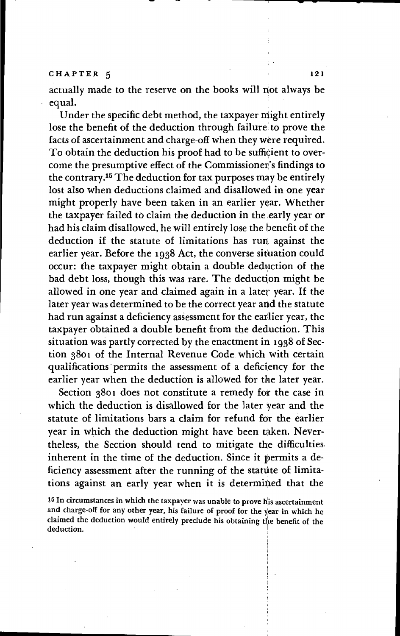actually made to the reserve on the books will not always be equal.

Under the specific debt method, the taxpayer might entirely lose the benefit of the deduction through failure to prove the facts of ascertainment and charge-off when they were required. To obtain the deduction his proof had to be sufficient to overcome the presumptive effect of the Commissioner's findings to<br>the contrary.<sup>15</sup> The deduction for tax purposes may be entirely equal.<br>Under the specific debt method, the taxpayer might entirely<br>lose the benefit of the deduction through failure to prove the<br>facts of ascertainment and charge-off when they were required.<br>To obtain the deduction his p lost also when deductions claimed and disallowed in one year might properly have been taken in an earlier year. Whether the taxpayer failed to claim the deduction in the early year or had his claim disallowed, he will entirely lose the benefit of the deduction if the statute of limitations has run against the earlier year. Before the 1938 Act, the converse situation could occur: the taxpayer might obtain a double deduction of the bad debt loss, though this was rare. The deduction might be allowed in one year and claimed again in a later year. If the later year was determined to be the correct year and the statute had run against a deficiency assessment for the earlier year, the taxpayer obtained a double benefit from the deduction. This situation was partly corrected by the enactment in 1938 of Section 3801 of the Internal Revenue Code which with certain qualifications permits the assessment of a deficiency for the earlier year when the deduction is allowed for the later year.

Section 3801 does not constitute a remedy for the case in which the deduction is disallowed for the later year and the statute of limitations bars a claim for refund for the earlier year in which the deduction might have been taken. Nevertheless, the Section should tend to mitigate the difficulties. inherent in the time of the deduction. Since it permits a deficiency assessment after the running of the statute of limitations against an early year when it is determined that the

<sup>15</sup> In circumstances in which the taxpayer was unable to prove his ascertainment and charge-off for any other year, his failure of proof for the year in which he claimed the deduction would entirely preclude his obtaining the benefit of the deduction.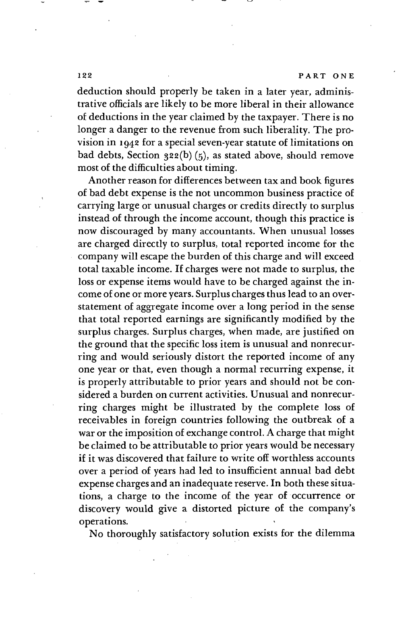#### 122 PART ONE

deduction should properly be taken in a later year, administrative officials are likely to be more liberal in their allowance of deductions in the year claimed by the taxpayer. There is no longer a danger to the revenue from such liberality. The provision in 1942 for a special seven-year statute of limitations on bad debts, Section  $32(6)(5)$ , as stated above, should remove most of the difficulties about timing.

Another reason for differences between tax and book figures of bad debt expense is the not uncommon business practice of carrying large or unusual charges or credits directly to surplus instead of through the income account, though this practice is now discouraged by many accountants. When unusual losses are charged directly to surplus, total reported income for the company will escape the burden of this charge and will exceed total taxable income. If charges were not made to surplus, the loss or expense items would have to be charged against the income of one or more years. Surplus charges thus lead to an overstatement of aggregate income over a long period in the sense that total reported earnings are significantly modified by the surplus charges. Surplus charges, when made, are justified on the ground that the specific loss item is unusual and nonrecurring and would seriously distort the reported income of any one year or that, even though a normal recurring expense, it is properly attributable to prior years and should not be considered a burden on current activities. Unusual and nonrecurring charges might be illustrated by the complete loss of receivables in foreign countries following the outbreak of a war or the imposition of exchange control. A charge that might be claimed to be attributable to prior years would be necessary if it was discovered that failure to write off worthless accounts over a period of years had led to insufficient annual bad debt expense charges and an inadequate reserve. In both these situations, a charge to the income of the year of occurrence or discovery would give a distorted picture of the company's operations.

No thoroughly satisfactory solution exists for the dilemma